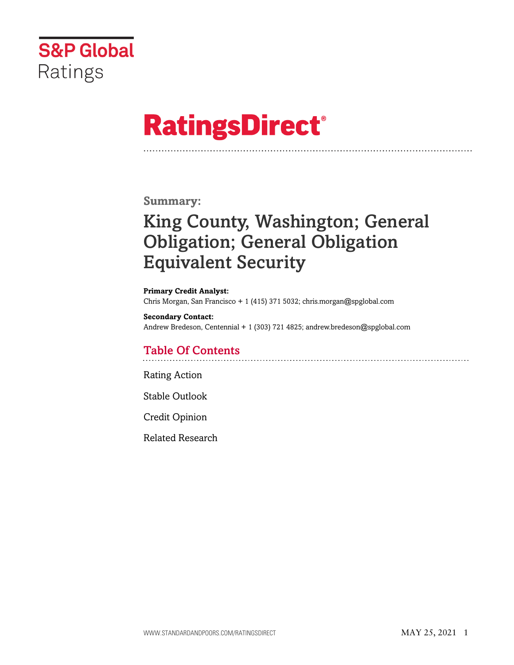

# **RatingsDirect®**

## **Summary:**

## King County, Washington; General Obligation; General Obligation Equivalent Security

**Primary Credit Analyst:** Chris Morgan, San Francisco + 1 (415) 371 5032; chris.morgan@spglobal.com

**Secondary Contact:** Andrew Bredeson, Centennial + 1 (303) 721 4825; andrew.bredeson@spglobal.com

## Table Of Contents

[Rating Action](#page-1-0)

[Stable Outlook](#page-2-0)

[Credit Opinion](#page-2-1)

[Related Research](#page-6-0)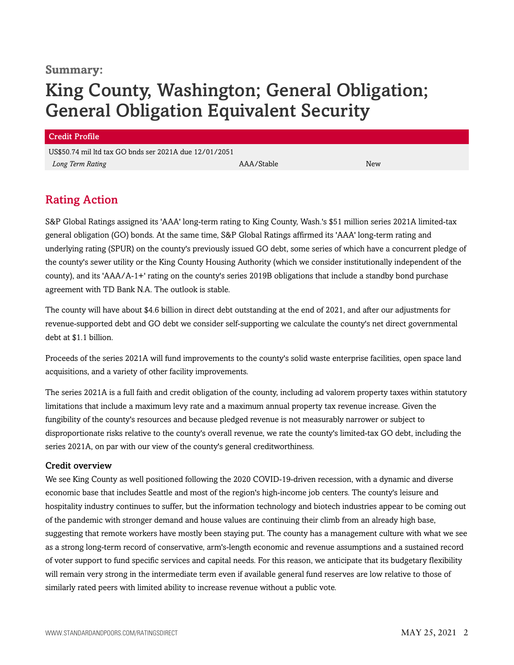## **Summary:**

## King County, Washington; General Obligation; General Obligation Equivalent Security

#### Credit Profile

US\$50.74 mil ltd tax GO bnds ser 2021A due 12/01/2051 *Long Term Rating* AAA/Stable New

## <span id="page-1-0"></span>Rating Action

S&P Global Ratings assigned its 'AAA' long-term rating to King County, Wash.'s \$51 million series 2021A limited-tax general obligation (GO) bonds. At the same time, S&P Global Ratings affirmed its 'AAA' long-term rating and underlying rating (SPUR) on the county's previously issued GO debt, some series of which have a concurrent pledge of the county's sewer utility or the King County Housing Authority (which we consider institutionally independent of the county), and its 'AAA/A-1+' rating on the county's series 2019B obligations that include a standby bond purchase agreement with TD Bank N.A. The outlook is stable.

The county will have about \$4.6 billion in direct debt outstanding at the end of 2021, and after our adjustments for revenue-supported debt and GO debt we consider self-supporting we calculate the county's net direct governmental debt at \$1.1 billion.

Proceeds of the series 2021A will fund improvements to the county's solid waste enterprise facilities, open space land acquisitions, and a variety of other facility improvements.

The series 2021A is a full faith and credit obligation of the county, including ad valorem property taxes within statutory limitations that include a maximum levy rate and a maximum annual property tax revenue increase. Given the fungibility of the county's resources and because pledged revenue is not measurably narrower or subject to disproportionate risks relative to the county's overall revenue, we rate the county's limited-tax GO debt, including the series 2021A, on par with our view of the county's general creditworthiness.

## Credit overview

We see King County as well positioned following the 2020 COVID-19-driven recession, with a dynamic and diverse economic base that includes Seattle and most of the region's high-income job centers. The county's leisure and hospitality industry continues to suffer, but the information technology and biotech industries appear to be coming out of the pandemic with stronger demand and house values are continuing their climb from an already high base, suggesting that remote workers have mostly been staying put. The county has a management culture with what we see as a strong long-term record of conservative, arm's-length economic and revenue assumptions and a sustained record of voter support to fund specific services and capital needs. For this reason, we anticipate that its budgetary flexibility will remain very strong in the intermediate term even if available general fund reserves are low relative to those of similarly rated peers with limited ability to increase revenue without a public vote.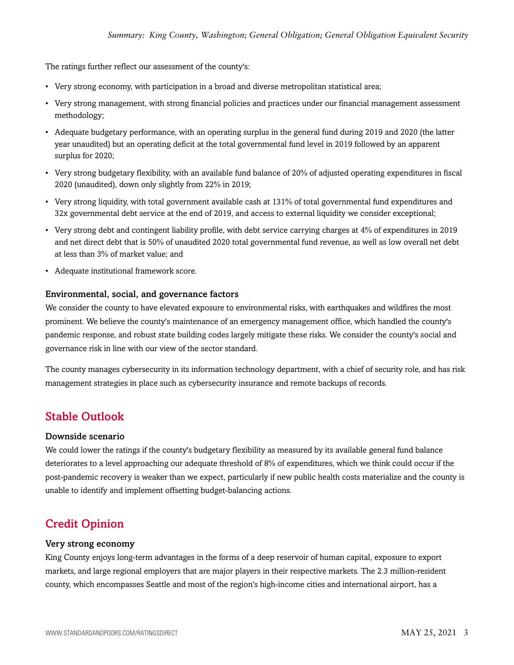The ratings further reflect our assessment of the county's:

- Very strong economy, with participation in a broad and diverse metropolitan statistical area;
- Very strong management, with strong financial policies and practices under our financial management assessment methodology;
- Adequate budgetary performance, with an operating surplus in the general fund during 2019 and 2020 (the latter year unaudited) but an operating deficit at the total governmental fund level in 2019 followed by an apparent surplus for 2020;
- Very strong budgetary flexibility, with an available fund balance of 20% of adjusted operating expenditures in fiscal 2020 (unaudited), down only slightly from 22% in 2019;
- Very strong liquidity, with total government available cash at 131% of total governmental fund expenditures and 32x governmental debt service at the end of 2019, and access to external liquidity we consider exceptional;
- Very strong debt and contingent liability profile, with debt service carrying charges at 4% of expenditures in 2019 and net direct debt that is 50% of unaudited 2020 total governmental fund revenue, as well as low overall net debt at less than 3% of market value; and
- Adequate institutional framework score.

#### Environmental, social, and governance factors

We consider the county to have elevated exposure to environmental risks, with earthquakes and wildfires the most prominent. We believe the county's maintenance of an emergency management office, which handled the county's pandemic response, and robust state building codes largely mitigate these risks. We consider the county's social and governance risk in line with our view of the sector standard.

The county manages cybersecurity in its information technology department, with a chief of security role, and has risk management strategies in place such as cybersecurity insurance and remote backups of records.

## <span id="page-2-0"></span>Stable Outlook

#### Downside scenario

We could lower the ratings if the county's budgetary flexibility as measured by its available general fund balance deteriorates to a level approaching our adequate threshold of 8% of expenditures, which we think could occur if the post-pandemic recovery is weaker than we expect, particularly if new public health costs materialize and the county is unable to identify and implement offsetting budget-balancing actions.

## <span id="page-2-1"></span>Credit Opinion

#### Very strong economy

King County enjoys long-term advantages in the forms of a deep reservoir of human capital, exposure to export markets, and large regional employers that are major players in their respective markets. The 2.3 million-resident county, which encompasses Seattle and most of the region's high-income cities and international airport, has a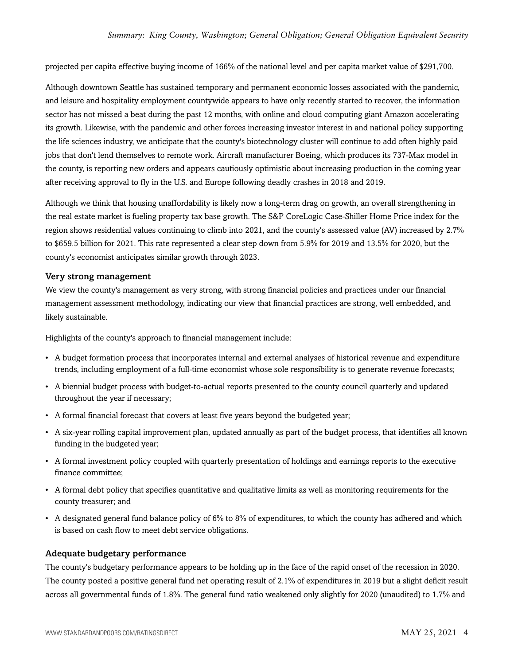projected per capita effective buying income of 166% of the national level and per capita market value of \$291,700.

Although downtown Seattle has sustained temporary and permanent economic losses associated with the pandemic, and leisure and hospitality employment countywide appears to have only recently started to recover, the information sector has not missed a beat during the past 12 months, with online and cloud computing giant Amazon accelerating its growth. Likewise, with the pandemic and other forces increasing investor interest in and national policy supporting the life sciences industry, we anticipate that the county's biotechnology cluster will continue to add often highly paid jobs that don't lend themselves to remote work. Aircraft manufacturer Boeing, which produces its 737-Max model in the county, is reporting new orders and appears cautiously optimistic about increasing production in the coming year after receiving approval to fly in the U.S. and Europe following deadly crashes in 2018 and 2019.

Although we think that housing unaffordability is likely now a long-term drag on growth, an overall strengthening in the real estate market is fueling property tax base growth. The S&P CoreLogic Case-Shiller Home Price index for the region shows residential values continuing to climb into 2021, and the county's assessed value (AV) increased by 2.7% to \$659.5 billion for 2021. This rate represented a clear step down from 5.9% for 2019 and 13.5% for 2020, but the county's economist anticipates similar growth through 2023.

#### Very strong management

We view the county's management as very strong, with strong financial policies and practices under our financial management assessment methodology, indicating our view that financial practices are strong, well embedded, and likely sustainable.

Highlights of the county's approach to financial management include:

- A budget formation process that incorporates internal and external analyses of historical revenue and expenditure trends, including employment of a full-time economist whose sole responsibility is to generate revenue forecasts;
- A biennial budget process with budget-to-actual reports presented to the county council quarterly and updated throughout the year if necessary;
- A formal financial forecast that covers at least five years beyond the budgeted year;
- A six-year rolling capital improvement plan, updated annually as part of the budget process, that identifies all known funding in the budgeted year;
- A formal investment policy coupled with quarterly presentation of holdings and earnings reports to the executive finance committee;
- A formal debt policy that specifies quantitative and qualitative limits as well as monitoring requirements for the county treasurer; and
- A designated general fund balance policy of  $6\%$  to  $8\%$  of expenditures, to which the county has adhered and which is based on cash flow to meet debt service obligations.

## Adequate budgetary performance

The county's budgetary performance appears to be holding up in the face of the rapid onset of the recession in 2020. The county posted a positive general fund net operating result of 2.1% of expenditures in 2019 but a slight deficit result across all governmental funds of 1.8%. The general fund ratio weakened only slightly for 2020 (unaudited) to 1.7% and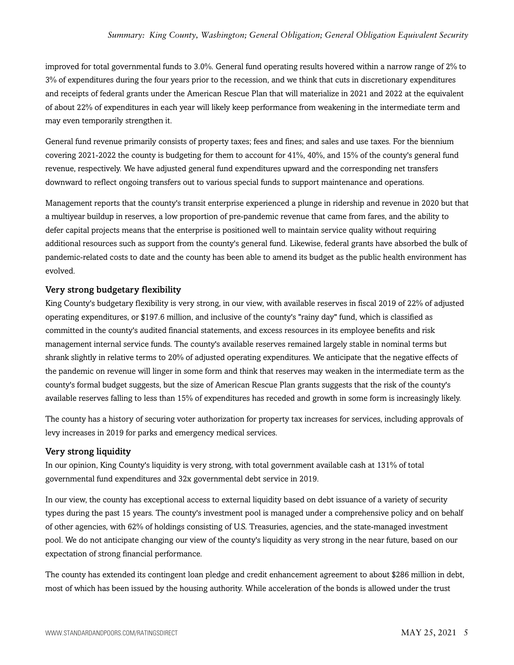improved for total governmental funds to 3.0%. General fund operating results hovered within a narrow range of 2% to 3% of expenditures during the four years prior to the recession, and we think that cuts in discretionary expenditures and receipts of federal grants under the American Rescue Plan that will materialize in 2021 and 2022 at the equivalent of about 22% of expenditures in each year will likely keep performance from weakening in the intermediate term and may even temporarily strengthen it.

General fund revenue primarily consists of property taxes; fees and fines; and sales and use taxes. For the biennium covering 2021-2022 the county is budgeting for them to account for 41%, 40%, and 15% of the county's general fund revenue, respectively. We have adjusted general fund expenditures upward and the corresponding net transfers downward to reflect ongoing transfers out to various special funds to support maintenance and operations.

Management reports that the county's transit enterprise experienced a plunge in ridership and revenue in 2020 but that a multiyear buildup in reserves, a low proportion of pre-pandemic revenue that came from fares, and the ability to defer capital projects means that the enterprise is positioned well to maintain service quality without requiring additional resources such as support from the county's general fund. Likewise, federal grants have absorbed the bulk of pandemic-related costs to date and the county has been able to amend its budget as the public health environment has evolved.

## Very strong budgetary flexibility

King County's budgetary flexibility is very strong, in our view, with available reserves in fiscal 2019 of 22% of adjusted operating expenditures, or \$197.6 million, and inclusive of the county's "rainy day" fund, which is classified as committed in the county's audited financial statements, and excess resources in its employee benefits and risk management internal service funds. The county's available reserves remained largely stable in nominal terms but shrank slightly in relative terms to 20% of adjusted operating expenditures. We anticipate that the negative effects of the pandemic on revenue will linger in some form and think that reserves may weaken in the intermediate term as the county's formal budget suggests, but the size of American Rescue Plan grants suggests that the risk of the county's available reserves falling to less than 15% of expenditures has receded and growth in some form is increasingly likely.

The county has a history of securing voter authorization for property tax increases for services, including approvals of levy increases in 2019 for parks and emergency medical services.

#### Very strong liquidity

In our opinion, King County's liquidity is very strong, with total government available cash at 131% of total governmental fund expenditures and 32x governmental debt service in 2019.

In our view, the county has exceptional access to external liquidity based on debt issuance of a variety of security types during the past 15 years. The county's investment pool is managed under a comprehensive policy and on behalf of other agencies, with 62% of holdings consisting of U.S. Treasuries, agencies, and the state-managed investment pool. We do not anticipate changing our view of the county's liquidity as very strong in the near future, based on our expectation of strong financial performance.

The county has extended its contingent loan pledge and credit enhancement agreement to about \$286 million in debt, most of which has been issued by the housing authority. While acceleration of the bonds is allowed under the trust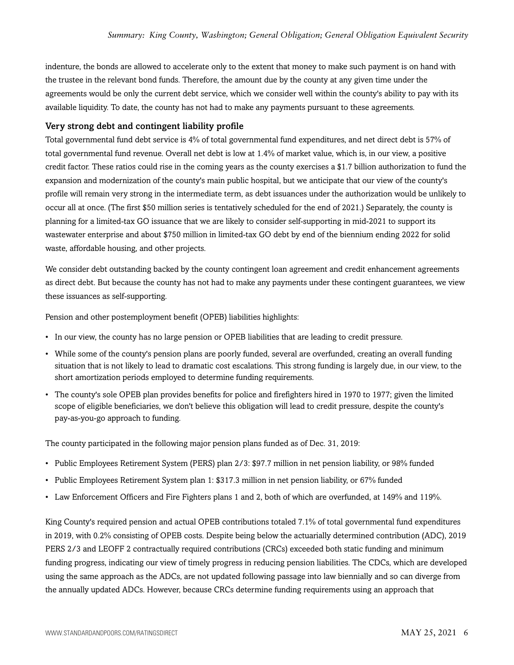indenture, the bonds are allowed to accelerate only to the extent that money to make such payment is on hand with the trustee in the relevant bond funds. Therefore, the amount due by the county at any given time under the agreements would be only the current debt service, which we consider well within the county's ability to pay with its available liquidity. To date, the county has not had to make any payments pursuant to these agreements.

### Very strong debt and contingent liability profile

Total governmental fund debt service is 4% of total governmental fund expenditures, and net direct debt is 57% of total governmental fund revenue. Overall net debt is low at 1.4% of market value, which is, in our view, a positive credit factor. These ratios could rise in the coming years as the county exercises a \$1.7 billion authorization to fund the expansion and modernization of the county's main public hospital, but we anticipate that our view of the county's profile will remain very strong in the intermediate term, as debt issuances under the authorization would be unlikely to occur all at once. (The first \$50 million series is tentatively scheduled for the end of 2021.) Separately, the county is planning for a limited-tax GO issuance that we are likely to consider self-supporting in mid-2021 to support its wastewater enterprise and about \$750 million in limited-tax GO debt by end of the biennium ending 2022 for solid waste, affordable housing, and other projects.

We consider debt outstanding backed by the county contingent loan agreement and credit enhancement agreements as direct debt. But because the county has not had to make any payments under these contingent guarantees, we view these issuances as self-supporting.

Pension and other postemployment benefit (OPEB) liabilities highlights:

- In our view, the county has no large pension or OPEB liabilities that are leading to credit pressure.
- While some of the county's pension plans are poorly funded, several are overfunded, creating an overall funding situation that is not likely to lead to dramatic cost escalations. This strong funding is largely due, in our view, to the short amortization periods employed to determine funding requirements.
- The county's sole OPEB plan provides benefits for police and firefighters hired in 1970 to 1977; given the limited scope of eligible beneficiaries, we don't believe this obligation will lead to credit pressure, despite the county's pay-as-you-go approach to funding.

The county participated in the following major pension plans funded as of Dec. 31, 2019:

- Public Employees Retirement System (PERS) plan 2/3: \$97.7 million in net pension liability, or 98% funded
- Public Employees Retirement System plan 1: \$317.3 million in net pension liability, or 67% funded
- Law Enforcement Officers and Fire Fighters plans 1 and 2, both of which are overfunded, at 149% and 119%.

King County's required pension and actual OPEB contributions totaled 7.1% of total governmental fund expenditures in 2019, with 0.2% consisting of OPEB costs. Despite being below the actuarially determined contribution (ADC), 2019 PERS 2/3 and LEOFF 2 contractually required contributions (CRCs) exceeded both static funding and minimum funding progress, indicating our view of timely progress in reducing pension liabilities. The CDCs, which are developed using the same approach as the ADCs, are not updated following passage into law biennially and so can diverge from the annually updated ADCs. However, because CRCs determine funding requirements using an approach that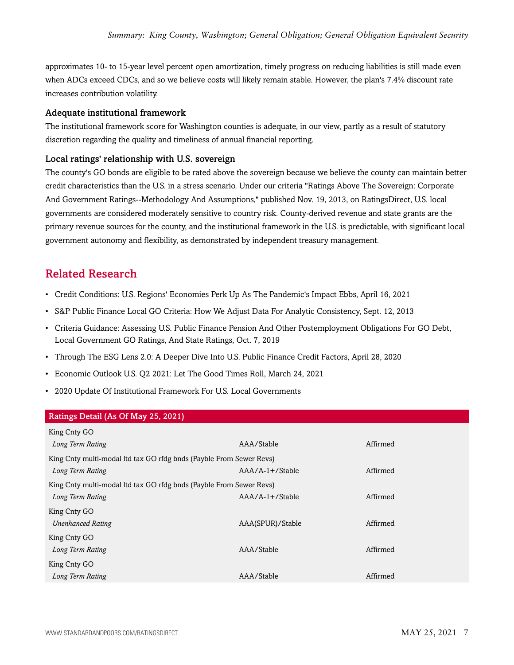approximates 10- to 15-year level percent open amortization, timely progress on reducing liabilities is still made even when ADCs exceed CDCs, and so we believe costs will likely remain stable. However, the plan's 7.4% discount rate increases contribution volatility.

### Adequate institutional framework

The institutional framework score for Washington counties is adequate, in our view, partly as a result of statutory discretion regarding the quality and timeliness of annual financial reporting.

## Local ratings' relationship with U.S. sovereign

The county's GO bonds are eligible to be rated above the sovereign because we believe the county can maintain better credit characteristics than the U.S. in a stress scenario. Under our criteria "Ratings Above The Sovereign: Corporate And Government Ratings--Methodology And Assumptions," published Nov. 19, 2013, on RatingsDirect, U.S. local governments are considered moderately sensitive to country risk. County-derived revenue and state grants are the primary revenue sources for the county, and the institutional framework in the U.S. is predictable, with significant local government autonomy and flexibility, as demonstrated by independent treasury management.

## <span id="page-6-0"></span>Related Research

- Credit Conditions: U.S. Regions' Economies Perk Up As The Pandemic's Impact Ebbs, April 16, 2021
- S&P Public Finance Local GO Criteria: How We Adjust Data For Analytic Consistency, Sept. 12, 2013
- Criteria Guidance: Assessing U.S. Public Finance Pension And Other Postemployment Obligations For GO Debt, Local Government GO Ratings, And State Ratings, Oct. 7, 2019
- Through The ESG Lens 2.0: A Deeper Dive Into U.S. Public Finance Credit Factors, April 28, 2020
- Economic Outlook U.S. Q2 2021: Let The Good Times Roll, March 24, 2021
- 2020 Update Of Institutional Framework For U.S. Local Governments

#### Ratings Detail (As Of May 25, 2021)

| King Cnty GO                                                        |                  |          |  |  |
|---------------------------------------------------------------------|------------------|----------|--|--|
| Long Term Rating                                                    | AAA/Stable       | Affirmed |  |  |
| King Cnty multi-modal ltd tax GO rfdg bnds (Payble From Sewer Revs) |                  |          |  |  |
| Long Term Rating                                                    | $AA/A-1+/Stable$ | Affirmed |  |  |
| King Cnty multi-modal ltd tax GO rfdg bnds (Payble From Sewer Revs) |                  |          |  |  |
| Long Term Rating                                                    | $AA/A-1+/Stable$ | Affirmed |  |  |
| King Cnty GO                                                        |                  |          |  |  |
| <b>Unenhanced Rating</b>                                            | AAA(SPUR)/Stable | Affirmed |  |  |
| King Cnty GO                                                        |                  |          |  |  |
| Long Term Rating                                                    | AAA/Stable       | Affirmed |  |  |
| King Cnty GO                                                        |                  |          |  |  |
| Long Term Rating                                                    | AAA/Stable       | Affirmed |  |  |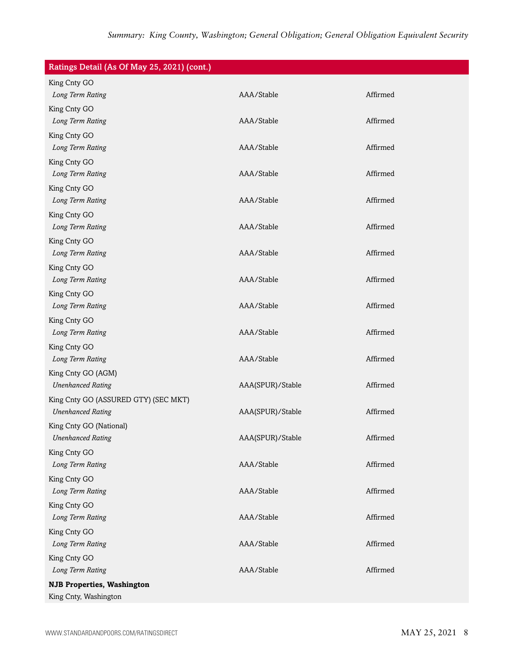| Ratings Detail (As Of May 25, 2021) (cont.) |                  |          |
|---------------------------------------------|------------------|----------|
| King Cnty GO                                |                  |          |
| Long Term Rating                            | AAA/Stable       | Affirmed |
| King Cnty GO                                |                  |          |
| Long Term Rating                            | AAA/Stable       | Affirmed |
| King Cnty GO                                |                  |          |
| Long Term Rating                            | AAA/Stable       | Affirmed |
| King Cnty GO                                |                  |          |
| Long Term Rating                            | AAA/Stable       | Affirmed |
| King Cnty GO                                |                  |          |
| Long Term Rating                            | AAA/Stable       | Affirmed |
| King Cnty GO                                |                  |          |
| Long Term Rating                            | AAA/Stable       | Affirmed |
| King Cnty GO                                |                  |          |
| Long Term Rating                            | AAA/Stable       | Affirmed |
| King Cnty GO                                |                  |          |
| Long Term Rating                            | AAA/Stable       | Affirmed |
| King Cnty GO                                |                  |          |
| Long Term Rating                            | AAA/Stable       | Affirmed |
| King Cnty GO                                |                  |          |
| Long Term Rating                            | AAA/Stable       | Affirmed |
| King Cnty GO                                |                  |          |
| Long Term Rating                            | AAA/Stable       | Affirmed |
| King Cnty GO (AGM)                          |                  |          |
| <b>Unenhanced Rating</b>                    | AAA(SPUR)/Stable | Affirmed |
| King Cnty GO (ASSURED GTY) (SEC MKT)        |                  |          |
| <b>Unenhanced Rating</b>                    | AAA(SPUR)/Stable | Affirmed |
| King Cnty GO (National)                     |                  |          |
| <b>Unenhanced Rating</b>                    | AAA(SPUR)/Stable | Affirmed |
| King Cnty GO                                |                  |          |
| Long Term Rating                            | AAA/Stable       | Affirmed |
| King Cnty GO                                |                  |          |
| Long Term Rating                            | AAA/Stable       | Affirmed |
| King Cnty GO                                |                  |          |
| Long Term Rating                            | AAA/Stable       | Affirmed |
| King Cnty GO                                |                  |          |
| Long Term Rating                            | AAA/Stable       | Affirmed |
| King Cnty GO                                |                  |          |
| Long Term Rating                            | AAA/Stable       | Affirmed |
| <b>NJB Properties, Washington</b>           |                  |          |
| King Cnty, Washington                       |                  |          |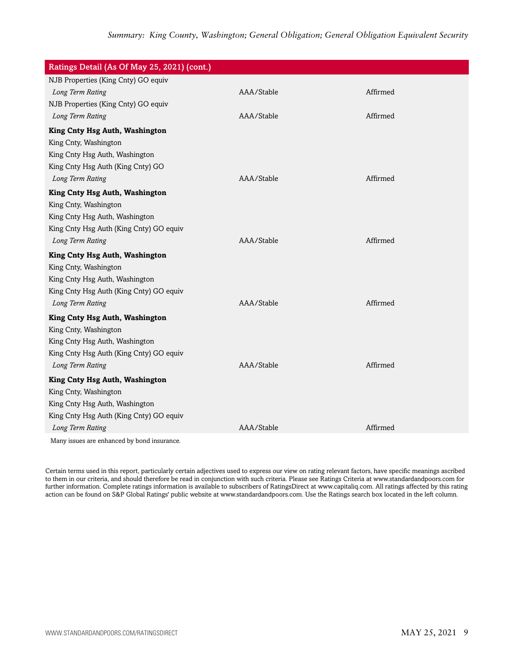| Ratings Detail (As Of May 25, 2021) (cont.) |            |          |
|---------------------------------------------|------------|----------|
| NJB Properties (King Cnty) GO equiv         |            |          |
| Long Term Rating                            | AAA/Stable | Affirmed |
| NJB Properties (King Cnty) GO equiv         |            |          |
| Long Term Rating                            | AAA/Stable | Affirmed |
| King Cnty Hsg Auth, Washington              |            |          |
| King Cnty, Washington                       |            |          |
| King Cnty Hsg Auth, Washington              |            |          |
| King Cnty Hsg Auth (King Cnty) GO           |            |          |
| Long Term Rating                            | AAA/Stable | Affirmed |
| King Cnty Hsg Auth, Washington              |            |          |
| King Cnty, Washington                       |            |          |
| King Cnty Hsg Auth, Washington              |            |          |
| King Cnty Hsg Auth (King Cnty) GO equiv     |            |          |
| Long Term Rating                            | AAA/Stable | Affirmed |
| King Cnty Hsg Auth, Washington              |            |          |
| King Cnty, Washington                       |            |          |
| King Cnty Hsg Auth, Washington              |            |          |
| King Cnty Hsg Auth (King Cnty) GO equiv     |            |          |
| Long Term Rating                            | AAA/Stable | Affirmed |
| King Cnty Hsg Auth, Washington              |            |          |
| King Cnty, Washington                       |            |          |
| King Cnty Hsg Auth, Washington              |            |          |
| King Cnty Hsg Auth (King Cnty) GO equiv     |            |          |
| Long Term Rating                            | AAA/Stable | Affirmed |
| King Cnty Hsg Auth, Washington              |            |          |
| King Cnty, Washington                       |            |          |
| King Cnty Hsg Auth, Washington              |            |          |
| King Cnty Hsg Auth (King Cnty) GO equiv     |            |          |
| Long Term Rating                            | AAA/Stable | Affirmed |
| Many issues are enhanced by bond insurance. |            |          |

Certain terms used in this report, particularly certain adjectives used to express our view on rating relevant factors, have specific meanings ascribed to them in our criteria, and should therefore be read in conjunction with such criteria. Please see Ratings Criteria at www.standardandpoors.com for further information. Complete ratings information is available to subscribers of RatingsDirect at www.capitaliq.com. All ratings affected by this rating action can be found on S&P Global Ratings' public website at www.standardandpoors.com. Use the Ratings search box located in the left column.